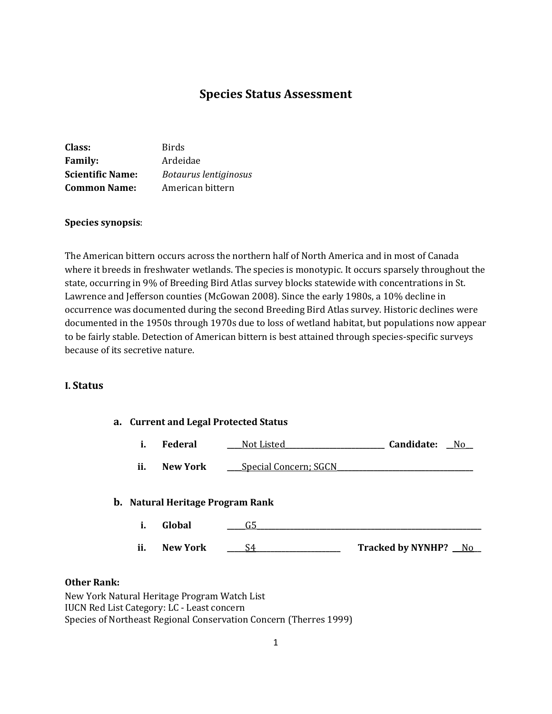# **Species Status Assessment**

| Class:                  | <b>Birds</b>          |
|-------------------------|-----------------------|
| <b>Family:</b>          | Ardeidae              |
| <b>Scientific Name:</b> | Botaurus lentiginosus |
| <b>Common Name:</b>     | American bittern      |

#### **Species synopsis**:

The American bittern occurs across the northern half of North America and in most of Canada where it breeds in freshwater wetlands. The species is monotypic. It occurs sparsely throughout the state, occurring in 9% of Breeding Bird Atlas survey blocks statewide with concentrations in St. Lawrence and Jefferson counties (McGowan 2008). Since the early 1980s, a 10% decline in occurrence was documented during the second Breeding Bird Atlas survey. Historic declines were documented in the 1950s through 1970s due to loss of wetland habitat, but populations now appear to be fairly stable. Detection of American bittern is best attained through species-specific surveys because of its secretive nature.

### **I. Status**

| a. Current and Legal Protected Status |                                         |                       |                        |
|---------------------------------------|-----------------------------------------|-----------------------|------------------------|
| i.                                    | <b>Federal</b>                          | Not Listed_           | Candidate:<br>No       |
| ii.                                   | New York                                | Special Concern; SGCN |                        |
|                                       | <b>b.</b> Natural Heritage Program Rank |                       |                        |
| i.                                    | Global                                  | G5                    |                        |
| ii.                                   | <b>New York</b>                         | S4                    | Tracked by NYNHP? _ No |

#### **Other Rank:**

New York Natural Heritage Program Watch List IUCN Red List Category: LC - Least concern Species of Northeast Regional Conservation Concern (Therres 1999)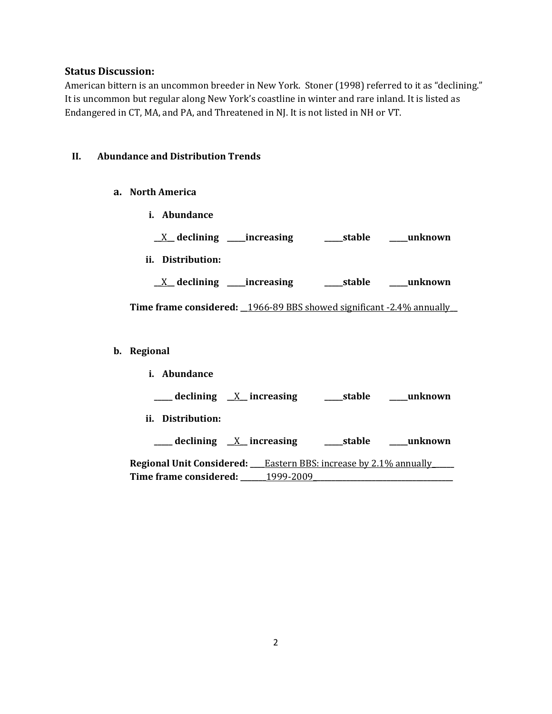# **Status Discussion:**

American bittern is an uncommon breeder in New York. Stoner (1998) referred to it as "declining." It is uncommon but regular along New York's coastline in winter and rare inland. It is listed as Endangered in CT, MA, and PA, and Threatened in NJ. It is not listed in NH or VT.

## **II. Abundance and Distribution Trends**

- **a. North America**
	- **i. Abundance**
	- **\_\_**X**\_\_ declining \_\_\_\_\_increasing \_\_\_\_\_stable \_\_\_\_\_unknown**
	- **ii. Distribution:**

**\_\_**X**\_\_ declining \_\_\_\_\_increasing \_\_\_\_\_stable \_\_\_\_\_unknown**

**Time frame considered: \_\_**1966-89 BBS showed significant -2.4% annually**\_\_**

### **b. Regional**

| i. Abundance                                                            |           |                |
|-------------------------------------------------------------------------|-----------|----------------|
| $\frac{1}{2}$ declining $\frac{X}{X}$ increasing                        |           | stable unknown |
| ii. Distribution:                                                       |           |                |
| $\frac{1}{\sqrt{1-x^2}}$ declining $\frac{X}{X}$ increasing             |           | stable unknown |
| <b>Regional Unit Considered:</b> Eastern BBS: increase by 2.1% annually |           |                |
| Time frame considered:                                                  | 1999-2009 |                |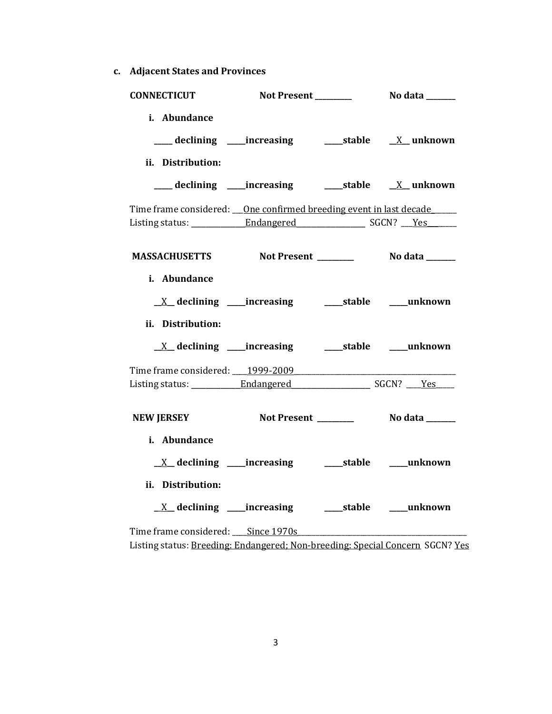**c. Adjacent States and Provinces**

| <b>CONNECTICUT</b>                                                                              |  |  |
|-------------------------------------------------------------------------------------------------|--|--|
| i. Abundance<br>ii. Distribution:                                                               |  |  |
| ___ declining ____increasing ____________stable ________________________________                |  |  |
| Time frame considered: <u>One confirmed breeding event in last decade</u>                       |  |  |
| MASSACHUSETTS Not Present Not also No data No.                                                  |  |  |
| i. Abundance<br><u>X</u> declining ____increasing ______stable ____unknown<br>ii. Distribution: |  |  |
| Time frame considered: 1999-2009                                                                |  |  |
|                                                                                                 |  |  |
| <b>NEW JERSEY</b>                                                                               |  |  |
| i. Abundance<br><u>X</u> declining ____increasing ______stable ____unknown<br>ii. Distribution: |  |  |
|                                                                                                 |  |  |
| Time frame considered: Since 1970s                                                              |  |  |

Listing status: <u>Breeding: Endangered; Non-breeding: Special Concern</u> SGCN? <u>Yes</u>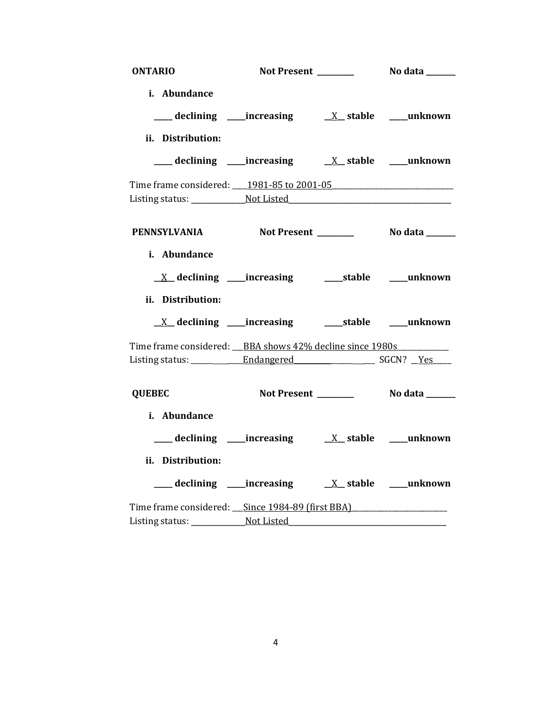| <b>ONTARIO</b>                                           |                                                              |  |
|----------------------------------------------------------|--------------------------------------------------------------|--|
| i. Abundance                                             |                                                              |  |
|                                                          |                                                              |  |
|                                                          |                                                              |  |
| ii. Distribution:                                        |                                                              |  |
|                                                          |                                                              |  |
| Time frame considered: 1981-85 to 2001-05                |                                                              |  |
|                                                          |                                                              |  |
|                                                          |                                                              |  |
| PENNSYLVANIA Not Present ________ No data ______         |                                                              |  |
| i. Abundance                                             |                                                              |  |
|                                                          |                                                              |  |
|                                                          | <u>X</u> declining ____increasing _______stable ____unknown  |  |
| ii. Distribution:                                        |                                                              |  |
|                                                          | <u>X</u> declining ____increasing _______stable _____unknown |  |
| Time frame considered: BBA shows 42% decline since 1980s |                                                              |  |
|                                                          |                                                              |  |
|                                                          |                                                              |  |
| <b>QUEBEC</b>                                            |                                                              |  |
| i. Abundance                                             |                                                              |  |
|                                                          |                                                              |  |
| ii. Distribution:                                        |                                                              |  |
|                                                          |                                                              |  |
| Time frame considered: <u>Since 1984-89 (first BBA)</u>  |                                                              |  |
|                                                          |                                                              |  |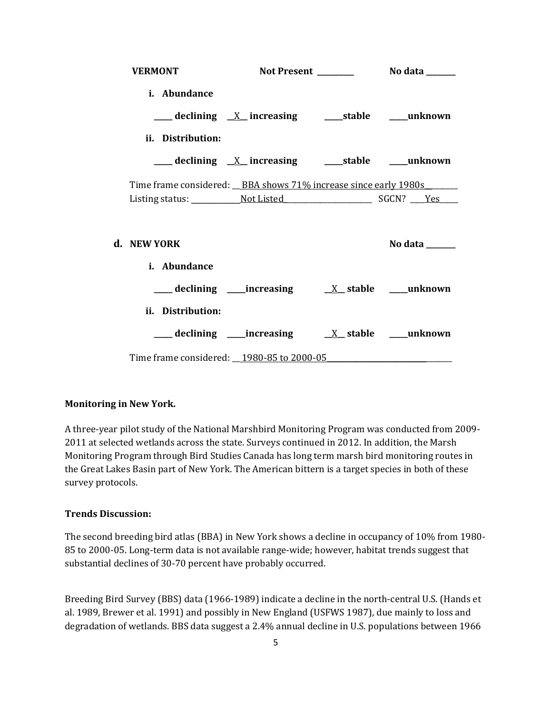| <b>VERMONT</b>                                                   |                                                          |                |
|------------------------------------------------------------------|----------------------------------------------------------|----------------|
| i. Abundance                                                     |                                                          |                |
|                                                                  | ___ declining _X_ increasing _______stable ______unknown |                |
| ii. Distribution:                                                |                                                          |                |
|                                                                  |                                                          |                |
| Time frame considered: _BBA shows 71% increase since early 1980s |                                                          |                |
|                                                                  |                                                          |                |
| d. NEW YORK                                                      |                                                          | No data $\_\_$ |
| <i>i.</i> Abundance                                              |                                                          |                |
|                                                                  |                                                          |                |
| ii. Distribution:                                                |                                                          |                |
|                                                                  |                                                          |                |
| Time frame considered: 1980-85 to 2000-05                        |                                                          |                |

### **Monitoring in New York.**

A three-year pilot study of the National Marshbird Monitoring Program was conducted from 2009- 2011 at selected wetlands across the state. Surveys continued in 2012. In addition, the Marsh Monitoring Program through Bird Studies Canada has long term marsh bird monitoring routes in the Great Lakes Basin part of New York. The American bittern is a target species in both of these survey protocols.

### **Trends Discussion:**

The second breeding bird atlas (BBA) in New York shows a decline in occupancy of 10% from 1980- 85 to 2000-05. Long-term data is not available range-wide; however, habitat trends suggest that substantial declines of 30-70 percent have probably occurred.

Breeding Bird Survey (BBS) data (1966-1989) indicate a decline in the north-central U.S. (Hands et al. 1989, Brewer et al. 1991) and possibly in New England (USFWS 1987), due mainly to loss and degradation of wetlands. BBS data suggest a 2.4% annual decline in U.S. populations between 1966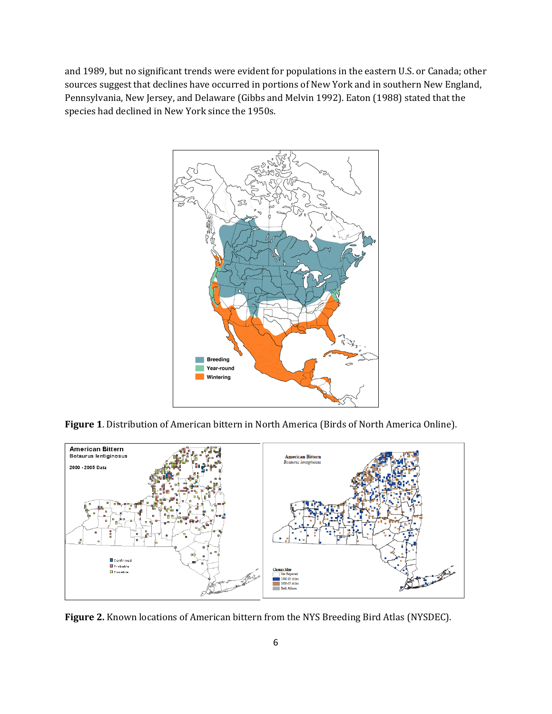and 1989, but no significant trends were evident for populations in the eastern U.S. or Canada; other sources suggest that declines have occurred in portions of New York and in southern New England, Pennsylvania, New Jersey, and Delaware (Gibbs and Melvin 1992). Eaton (1988) stated that the species had declined in New York since the 1950s.



**Figure 1**. Distribution of American bittern in North America (Birds of North America Online).



**Figure 2.** Known locations of American bittern from the NYS Breeding Bird Atlas (NYSDEC).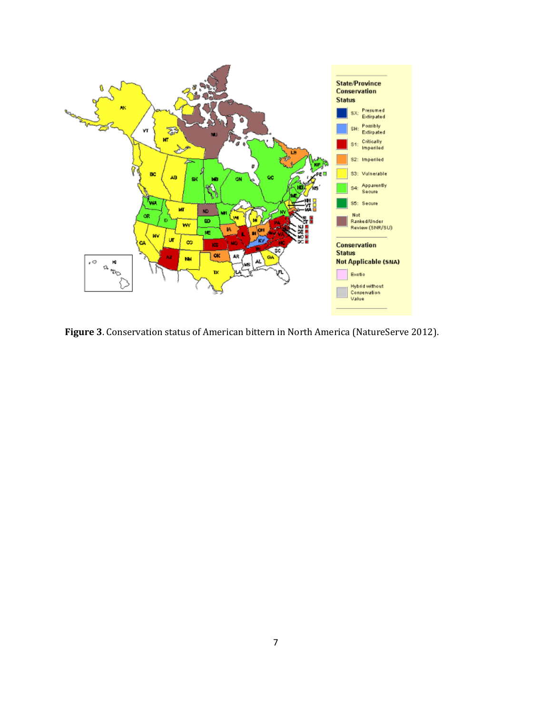

**Figure 3**. Conservation status of American bittern in North America (NatureServe 2012).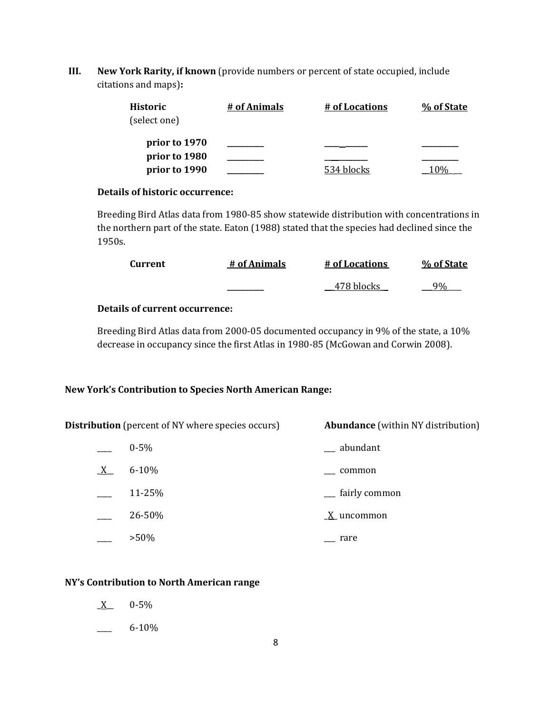**III. New York Rarity, if known** (provide numbers or percent of state occupied, include citations and maps)**:**

| <b>Historic</b><br>(select one) | # of Animals | <u># of Locations</u> | % of State |
|---------------------------------|--------------|-----------------------|------------|
| prior to 1970                   |              |                       |            |
| prior to 1980<br>prior to 1990  |              | 534 blocks            |            |
|                                 |              |                       |            |

### **Details of historic occurrence:**

Breeding Bird Atlas data from 1980-85 show statewide distribution with concentrations in the northern part of the state. Eaton (1988) stated that the species had declined since the 1950s.

| Current | # of Animals | # of Locations | % of State |
|---------|--------------|----------------|------------|
|         |              | 478 blocks     |            |

# **Details of current occurrence:**

Breeding Bird Atlas data from 2000-05 documented occupancy in 9% of the state, a 10% decrease in occupancy since the first Atlas in 1980-85 (McGowan and Corwin 2008).

# **New York's Contribution to Species North American Range:**

| <b>Distribution</b> (percent of NY where species occurs) |           | <b>Abundance</b> (within NY distribution) |
|----------------------------------------------------------|-----------|-------------------------------------------|
|                                                          | $0 - 5\%$ | __ abundant                               |
| X                                                        | $6 - 10%$ | common                                    |
|                                                          | 11-25%    | <sub>__</sub> fairly common               |
|                                                          | 26-50%    | $\underline{X}$ uncommon                  |
|                                                          | $>50\%$   | rare                                      |

# **NY's Contribution to North American range**

- $X$  0-5%
- $-6-10\%$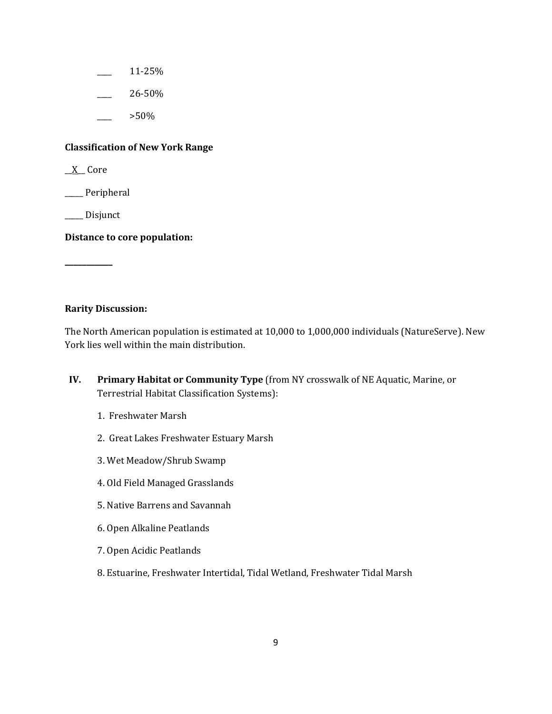- \_\_\_\_ 11-25%
- \_\_\_\_ 26-50%
	- \_\_\_\_ >50%

## **Classification of New York Range**

\_\_X\_\_ Core

\_\_\_\_\_ Peripheral

\_\_\_\_\_ Disjunct

**\_\_\_\_\_\_\_\_\_\_\_**

**Distance to core population:**

### **Rarity Discussion:**

The North American population is estimated at 10,000 to 1,000,000 individuals (NatureServe). New York lies well within the main distribution.

- **IV. Primary Habitat or Community Type** (from NY crosswalk of NE Aquatic, Marine, or Terrestrial Habitat Classification Systems):
	- 1. Freshwater Marsh
	- 2. Great Lakes Freshwater Estuary Marsh
	- 3. Wet Meadow/Shrub Swamp
	- 4. Old Field Managed Grasslands
	- 5. Native Barrens and Savannah
	- 6. Open Alkaline Peatlands
	- 7. Open Acidic Peatlands
	- 8. Estuarine, Freshwater Intertidal, Tidal Wetland, Freshwater Tidal Marsh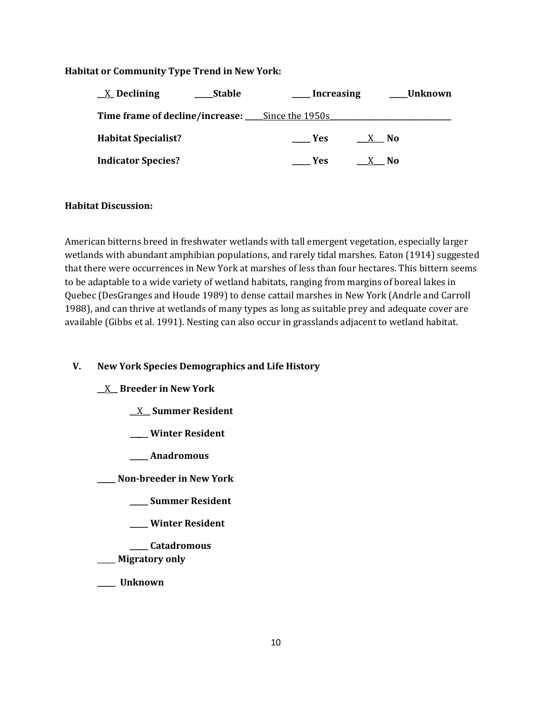## **Habitat or Community Type Trend in New York:**

| $X$ Declining              | Stable | Lncreasing                                             |              |     | Unknown |
|----------------------------|--------|--------------------------------------------------------|--------------|-----|---------|
|                            |        | <b>Time frame of decline/increase:</b> Since the 1950s |              |     |         |
| <b>Habitat Specialist?</b> |        | - Yes                                                  | X No         |     |         |
| <b>Indicator Species?</b>  |        | <b>Yes</b>                                             | $\mathbf{X}$ | No. |         |

## **Habitat Discussion:**

American bitterns breed in freshwater wetlands with tall emergent vegetation, especially larger wetlands with abundant amphibian populations, and rarely tidal marshes. Eaton (1914) suggested that there were occurrences in New York at marshes of less than four hectares. This bittern seems to be adaptable to a wide variety of wetland habitats, ranging from margins of boreal lakes in Quebec (DesGranges and Houde 1989) to dense cattail marshes in New York (Andrle and Carroll 1988), and can thrive at wetlands of many types as long as suitable prey and adequate cover are available (Gibbs et al. 1991). Nesting can also occur in grasslands adjacent to wetland habitat.

# **V. New York Species Demographics and Life History**

### **\_\_**X**\_\_ Breeder in New York**

- **\_\_**X**\_\_ Summer Resident**
- **\_\_\_\_\_ Winter Resident**
- **\_\_\_\_\_ Anadromous**

**\_\_\_\_\_ Non-breeder in New York**

- **\_\_\_\_\_ Summer Resident**
- **\_\_\_\_\_ Winter Resident**
- **\_\_\_\_\_ Catadromous**
- \_\_\_\_\_ **Migratory only**
- **\_\_\_\_\_ Unknown**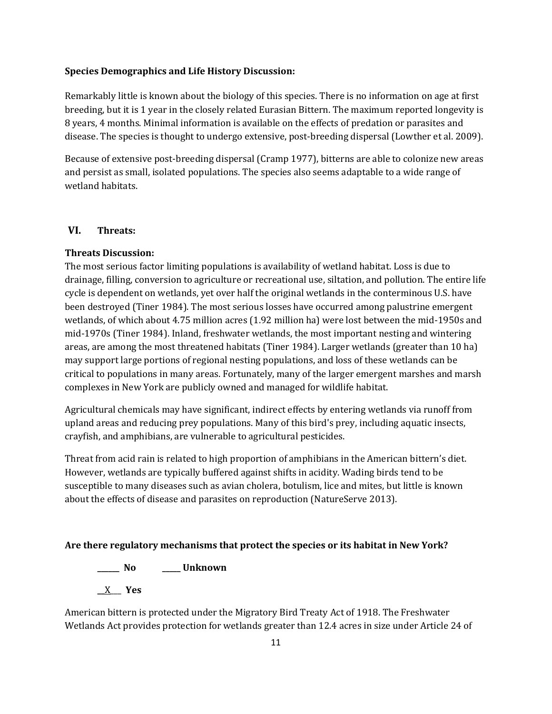### **Species Demographics and Life History Discussion:**

Remarkably little is known about the biology of this species. There is no information on age at first breeding, but it is 1 year in the closely related Eurasian Bittern. The maximum reported longevity is 8 years, 4 months. Minimal information is available on the effects of predation or parasites and disease. The species is thought to undergo extensive, post-breeding dispersal (Lowther et al. 2009).

Because of extensive post-breeding dispersal (Cramp 1977), bitterns are able to colonize new areas and persist as small, isolated populations. The species also seems adaptable to a wide range of wetland habitats.

## **VI. Threats:**

## **Threats Discussion:**

The most serious factor limiting populations is availability of wetland habitat. Loss is due to drainage, filling, conversion to agriculture or recreational use, siltation, and pollution. The entire life cycle is dependent on wetlands, yet over half the original wetlands in the conterminous U.S. have been destroyed (Tiner 1984). The most serious losses have occurred among palustrine emergent wetlands, of which about 4.75 million acres (1.92 million ha) were lost between the mid-1950s and mid-1970s (Tiner 1984). Inland, freshwater wetlands, the most important nesting and wintering areas, are among the most threatened habitats (Tiner 1984). Larger wetlands (greater than 10 ha) may support large portions of regional nesting populations, and loss of these wetlands can be critical to populations in many areas. Fortunately, many of the larger emergent marshes and marsh complexes in New York are publicly owned and managed for wildlife habitat.

Agricultural chemicals may have significant, indirect effects by entering wetlands via runoff from upland areas and reducing prey populations. Many of this bird's prey, including aquatic insects, crayfish, and amphibians, are vulnerable to agricultural pesticides.

Threat from acid rain is related to high proportion of amphibians in the American bittern's diet. However, wetlands are typically buffered against shifts in acidity. Wading birds tend to be susceptible to many diseases such as avian cholera, botulism, lice and mites, but little is known about the effects of disease and parasites on reproduction (NatureServe 2013).

#### **Are there regulatory mechanisms that protect the species or its habitat in New York?**

**\_\_\_\_\_\_ No \_\_\_\_\_ Unknown**

**\_\_**X\_\_\_ **Yes** 

American bittern is protected under the Migratory Bird Treaty Act of 1918. The Freshwater Wetlands Act provides protection for wetlands greater than 12.4 acres in size under Article 24 of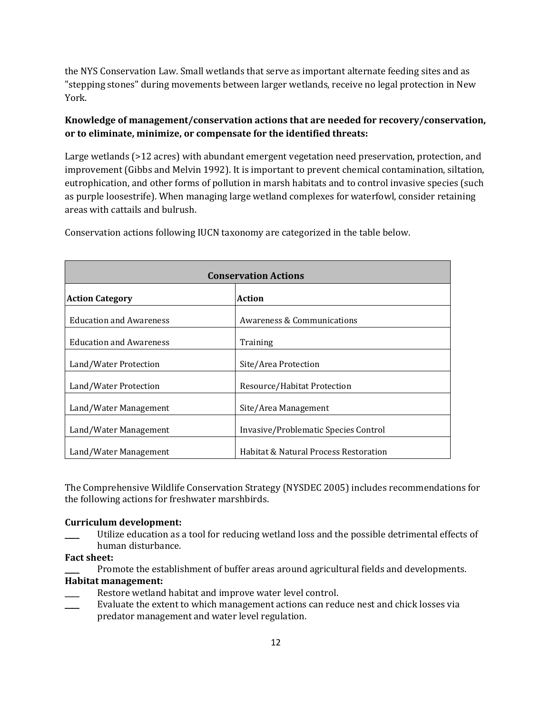the NYS Conservation Law. Small wetlands that serve as important alternate feeding sites and as "stepping stones" during movements between larger wetlands, receive no legal protection in New York.

# **Knowledge of management/conservation actions that are needed for recovery/conservation, or to eliminate, minimize, or compensate for the identified threats:**

Large wetlands (>12 acres) with abundant emergent vegetation need preservation, protection, and improvement (Gibbs and Melvin 1992). It is important to prevent chemical contamination, siltation, eutrophication, and other forms of pollution in marsh habitats and to control invasive species (such as purple loosestrife). When managing large wetland complexes for waterfowl, consider retaining areas with cattails and bulrush.

| <b>Conservation Actions</b>    |                                       |  |
|--------------------------------|---------------------------------------|--|
| <b>Action Category</b>         | Action                                |  |
| <b>Education and Awareness</b> | Awareness & Communications            |  |
| <b>Education and Awareness</b> | Training                              |  |
| Land/Water Protection          | Site/Area Protection                  |  |
| Land/Water Protection          | Resource/Habitat Protection           |  |
| Land/Water Management          | Site/Area Management                  |  |
| Land/Water Management          | Invasive/Problematic Species Control  |  |
| Land/Water Management          | Habitat & Natural Process Restoration |  |

Conservation actions following IUCN taxonomy are categorized in the table below.

The Comprehensive Wildlife Conservation Strategy (NYSDEC 2005) includes recommendations for the following actions for freshwater marshbirds.

### **Curriculum development:**

Utilize education as a tool for reducing wetland loss and the possible detrimental effects of human disturbance.

## **Fact sheet:**

Promote the establishment of buffer areas around agricultural fields and developments.

### **Habitat management:**

- Restore wetland habitat and improve water level control.
- Evaluate the extent to which management actions can reduce nest and chick losses via predator management and water level regulation.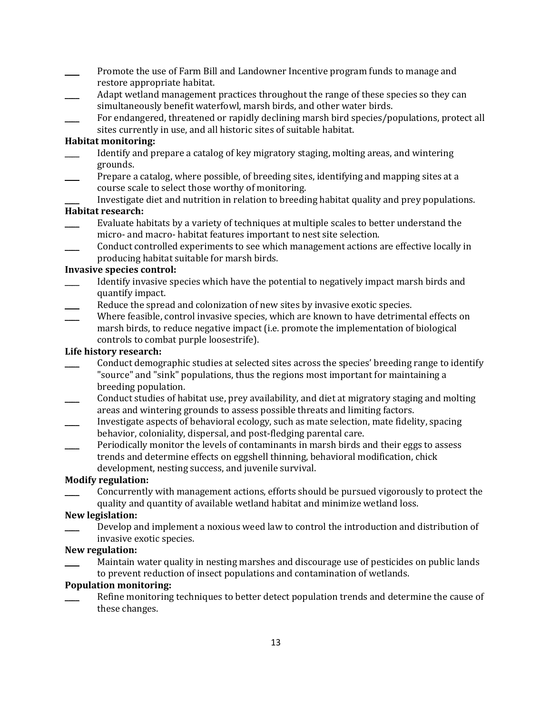- \_\_\_\_ Promote the use of Farm Bill and Landowner Incentive program funds to manage and restore appropriate habitat.
- Adapt wetland management practices throughout the range of these species so they can simultaneously benefit waterfowl, marsh birds, and other water birds.
- For endangered, threatened or rapidly declining marsh bird species/populations, protect all sites currently in use, and all historic sites of suitable habitat.

#### **Habitat monitoring:**

- \_\_\_\_ Identify and prepare a catalog of key migratory staging, molting areas, and wintering grounds.
- Prepare a catalog, where possible, of breeding sites, identifying and mapping sites at a course scale to select those worthy of monitoring.
	- Investigate diet and nutrition in relation to breeding habitat quality and prey populations.

#### **Habitat research:**

- Evaluate habitats by a variety of techniques at multiple scales to better understand the micro- and macro- habitat features important to nest site selection.
- \_\_\_\_ Conduct controlled experiments to see which management actions are effective locally in producing habitat suitable for marsh birds.

#### **Invasive species control:**

- \_\_\_\_ Identify invasive species which have the potential to negatively impact marsh birds and quantify impact.
- Reduce the spread and colonization of new sites by invasive exotic species.
- Where feasible, control invasive species, which are known to have detrimental effects on marsh birds, to reduce negative impact (i.e. promote the implementation of biological controls to combat purple loosestrife).

#### **Life history research:**

- \_\_\_\_ Conduct demographic studies at selected sites across the species' breeding range to identify "source" and "sink" populations, thus the regions most important for maintaining a breeding population.
- \_\_\_\_ Conduct studies of habitat use, prey availability, and diet at migratory staging and molting areas and wintering grounds to assess possible threats and limiting factors.
- \_\_\_\_ Investigate aspects of behavioral ecology, such as mate selection, mate fidelity, spacing behavior, coloniality, dispersal, and post-fledging parental care.
- Periodically monitor the levels of contaminants in marsh birds and their eggs to assess trends and determine effects on eggshell thinning, behavioral modification, chick development, nesting success, and juvenile survival.

#### **Modify regulation:**

\_\_\_\_ Concurrently with management actions, efforts should be pursued vigorously to protect the quality and quantity of available wetland habitat and minimize wetland loss.

### **New legislation:**

Develop and implement a noxious weed law to control the introduction and distribution of invasive exotic species.

#### **New regulation:**

Maintain water quality in nesting marshes and discourage use of pesticides on public lands to prevent reduction of insect populations and contamination of wetlands.

#### **Population monitoring:**

Refine monitoring techniques to better detect population trends and determine the cause of these changes.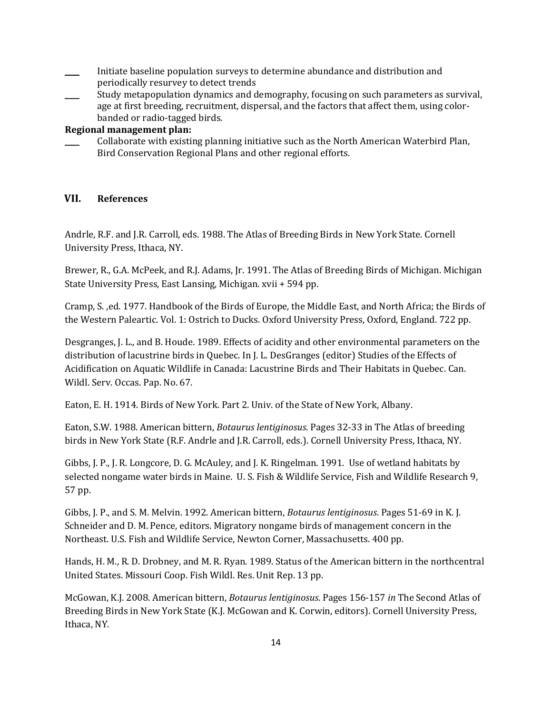- \_\_\_\_ Initiate baseline population surveys to determine abundance and distribution and periodically resurvey to detect trends
- \_\_\_\_ Study metapopulation dynamics and demography, focusing on such parameters as survival, age at first breeding, recruitment, dispersal, and the factors that affect them, using colorbanded or radio-tagged birds.

# **Regional management plan:**

\_\_\_\_ Collaborate with existing planning initiative such as the North American Waterbird Plan, Bird Conservation Regional Plans and other regional efforts.

# **VII. References**

Andrle, R.F. and J.R. Carroll, eds. 1988. The Atlas of Breeding Birds in New York State. Cornell University Press, Ithaca, NY.

Brewer, R., G.A. McPeek, and R.J. Adams, Jr. 1991. The Atlas of Breeding Birds of Michigan. Michigan State University Press, East Lansing, Michigan. xvii + 594 pp.

Cramp, S. ,ed. 1977. Handbook of the Birds of Europe, the Middle East, and North Africa; the Birds of the Western Paleartic. Vol. 1: Ostrich to Ducks. Oxford University Press, Oxford, England. 722 pp.

Desgranges, J. L., and B. Houde. 1989. Effects of acidity and other environmental parameters on the distribution of lacustrine birds in Quebec. In J. L. DesGranges (editor) Studies of the Effects of Acidification on Aquatic Wildlife in Canada: Lacustrine Birds and Their Habitats in Quebec. Can. Wildl. Serv. Occas. Pap. No. 67.

Eaton, E. H. 1914. Birds of New York. Part 2. Univ. of the State of New York, Albany.

Eaton, S.W. 1988. American bittern, *Botaurus lentiginosus*. Pages 32-33 in The Atlas of breeding birds in New York State (R.F. Andrle and J.R. Carroll, eds.). Cornell University Press, Ithaca, NY.

Gibbs, J. P., J. R. Longcore, D. G. McAuley, and J. K. Ringelman. 1991. Use of wetland habitats by selected nongame water birds in Maine. U. S. Fish & Wildlife Service, Fish and Wildlife Research 9, 57 pp.

Gibbs, J. P., and S. M. Melvin. 1992. American bittern, *Botaurus lentiginosus*. Pages 51-69 in K. J. Schneider and D. M. Pence, editors. Migratory nongame birds of management concern in the Northeast. U.S. Fish and Wildlife Service, Newton Corner, Massachusetts. 400 pp.

Hands, H. M., R. D. Drobney, and M. R. Ryan. 1989. Status of the American bittern in the northcentral United States. Missouri Coop. Fish Wildl. Res. Unit Rep. 13 pp.

McGowan, K.J. 2008. American bittern, *Botaurus lentiginosus*. Pages 156-157 *in* The Second Atlas of Breeding Birds in New York State (K.J. McGowan and K. Corwin, editors). Cornell University Press, Ithaca, NY.